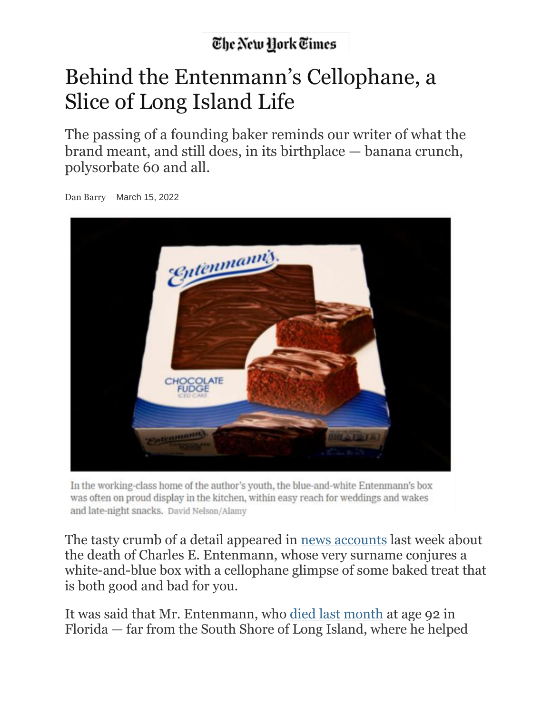## The New York Times

## Behind the Entenmann's Cellophane, a Slice of Long Island Life

The passing of a founding baker reminds our writer of what the brand meant, and still does, in its birthplace — banana crunch, polysorbate 60 and all.



Dan Barry March 15, 2022

In the working-class home of the author's youth, the blue-and-white Entenmann's box was often on proud display in the kitchen, within easy reach for weddings and wakes and late-night snacks. David Nelson/Alamy

The tasty crumb of a detail appeared in news [accounts](https://www.nbcnewyork.com/news/local/charles-entenmann-who-expanded-familys-ny-bakery-into-national-brand-dies-at-92/3591241/) last week about the death of Charles E. Entenmann, whose very surname conjures a white-and-blue box with a cellophane glimpse of some baked treat that is both good and bad for you.

It was said that Mr. Entenmann, who died last [month](https://www.nytimes.com/2022/03/09/obituaries/charles-e-entenmann-dead.html) at age 92 in Florida — far from the South Shore of Long Island, where he helped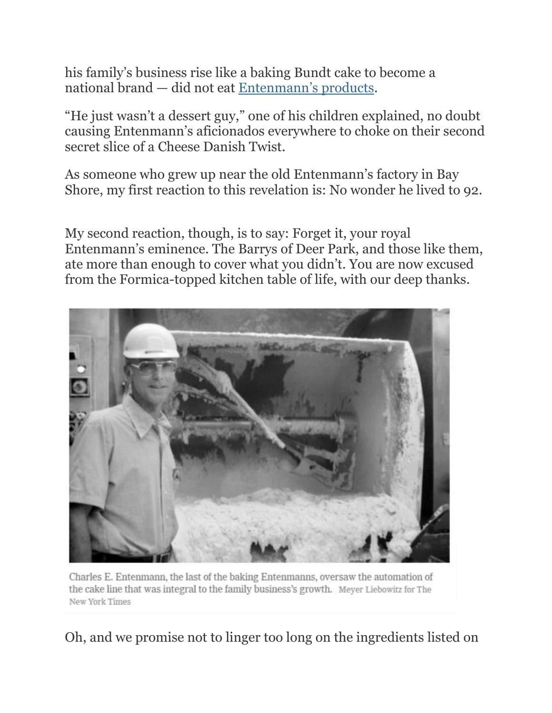his family's business rise like a baking Bundt cake to become a national brand — did not eat [Entenmann's](https://www.entenmanns.com/en) products.

"He just wasn't a dessert guy," one of his children explained, no doubt causing Entenmann's aficionados everywhere to choke on their second secret slice of a Cheese Danish Twist.

As someone who grew up near the old Entenmann's factory in Bay Shore, my first reaction to this revelation is: No wonder he lived to 92.

My second reaction, though, is to say: Forget it, your royal Entenmann's eminence. The Barrys of Deer Park, and those like them, ate more than enough to cover what you didn't. You are now excused from the Formica-topped kitchen table of life, with our deep thanks.



Charles E. Entenmann, the last of the baking Entenmanns, oversaw the automation of the cake line that was integral to the family business's growth. Meyer Liebowitz for The New York Times

Oh, and we promise not to linger too long on the ingredients listed on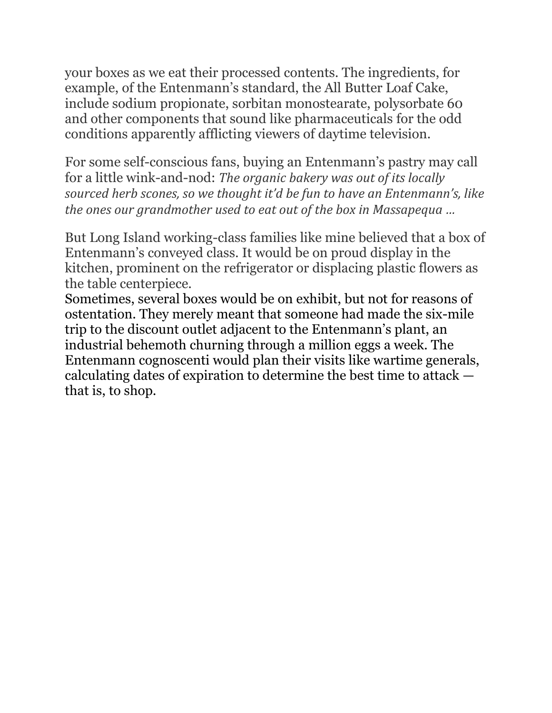your boxes as we eat their processed contents. The ingredients, for example, of the Entenmann's standard, the All Butter Loaf Cake, include sodium propionate, sorbitan monostearate, polysorbate 60 and other components that sound like pharmaceuticals for the odd conditions apparently afflicting viewers of daytime television.

For some self-conscious fans, buying an Entenmann's pastry may call for a little wink-and-nod: *The organic bakery was out of its locally sourced herb scones, so we thought it'd be fun to have an Entenmann's, like the ones our grandmother used to eat out of the box in Massapequa …*

But Long Island working-class families like mine believed that a box of Entenmann's conveyed class. It would be on proud display in the kitchen, prominent on the refrigerator or displacing plastic flowers as the table centerpiece.

Sometimes, several boxes would be on exhibit, but not for reasons of ostentation. They merely meant that someone had made the six-mile trip to the discount outlet adjacent to the Entenmann's plant, an industrial behemoth churning through a million eggs a week. The Entenmann cognoscenti would plan their visits like wartime generals, calculating dates of expiration to determine the best time to attack that is, to shop.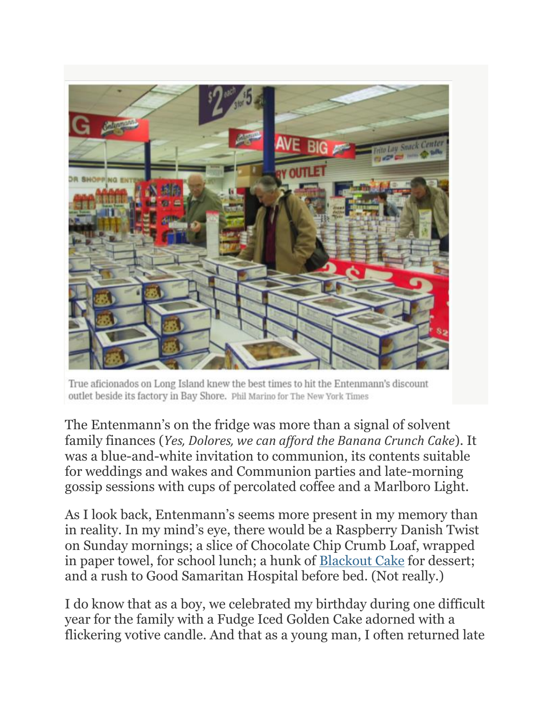

True aficionados on Long Island knew the best times to hit the Entenmann's discount outlet beside its factory in Bay Shore. Phil Marino for The New York Times

The Entenmann's on the fridge was more than a signal of solvent family finances (*Yes, Dolores, we can afford the Banana Crunch Cake*). It was a blue-and-white invitation to communion, its contents suitable for weddings and wakes and Communion parties and late-morning gossip sessions with cups of percolated coffee and a Marlboro Light.

As I look back, Entenmann's seems more present in my memory than in reality. In my mind's eye, there would be a Raspberry Danish Twist on Sunday mornings; a slice of Chocolate Chip Crumb Loaf, wrapped in paper towel, for school lunch; a hunk of [Blackout](https://cooking.nytimes.com/recipes/1018772-blackout-cake) Cake for dessert; and a rush to Good Samaritan Hospital before bed. (Not really.)

I do know that as a boy, we celebrated my birthday during one difficult year for the family with a Fudge Iced Golden Cake adorned with a flickering votive candle. And that as a young man, I often returned late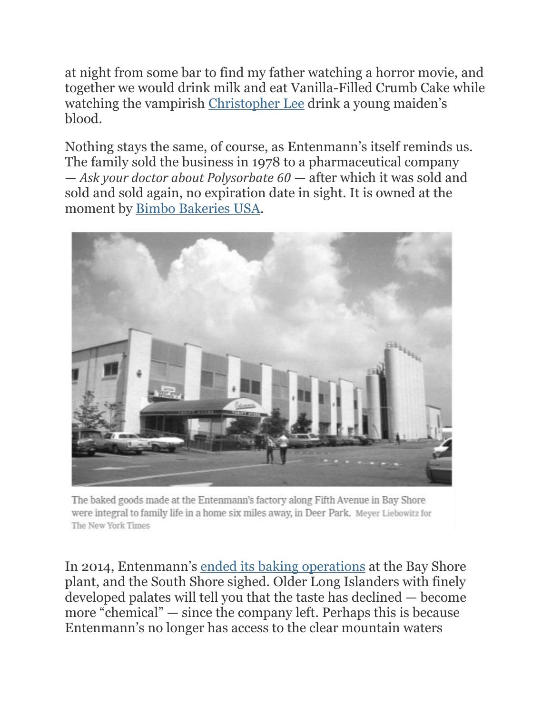at night from some bar to find my father watching a horror movie, and together we would drink milk and eat Vanilla-Filled Crumb Cake while watching the vampirish [Christopher](https://www.nytimes.com/2015/06/12/movies/christopher-lee-dies-count-dracula-lord-rings-star-wars-james-bond-scaramanga.html) Lee drink a young maiden's blood.

Nothing stays the same, of course, as Entenmann's itself reminds us. The family sold the business in 1978 to a pharmaceutical company — *Ask your doctor about Polysorbate 60* — after which it was sold and sold and sold again, no expiration date in sight. It is owned at the moment by Bimbo [Bakeries](https://www.bimbobakeriesusa.com/) USA.



The baked goods made at the Entenmann's factory along Fifth Avenue in Bay Shore were integral to family life in a home six miles away, in Deer Park. Meyer Liebowitz for The New York Times

In 2014, Entenmann's ended its baking [operations](https://www.nytimes.com/2014/06/03/nyregion/a-long-island-institution-is-cooling-its-ovens.html) at the Bay Shore plant, and the South Shore sighed. Older Long Islanders with finely developed palates will tell you that the taste has declined — become more "chemical" — since the company left. Perhaps this is because Entenmann's no longer has access to the clear mountain waters